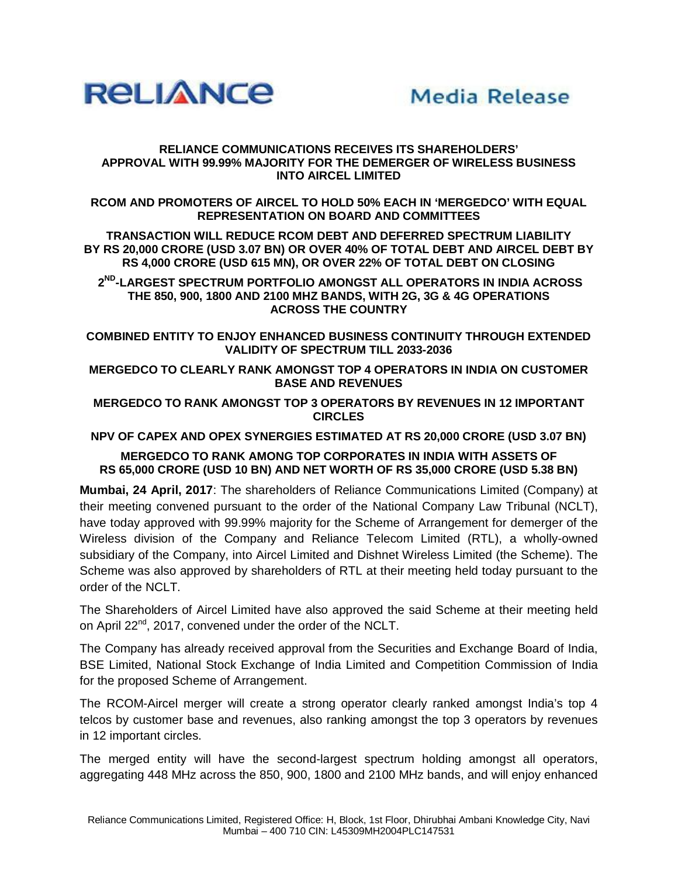

## **RELIANCE COMMUNICATIONS RECEIVES ITS SHAREHOLDERS' APPROVAL WITH 99.99% MAJORITY FOR THE DEMERGER OF WIRELESS BUSINESS INTO AIRCEL LIMITED**

**RCOM AND PROMOTERS OF AIRCEL TO HOLD 50% EACH IN 'MERGEDCO' WITH EQUAL REPRESENTATION ON BOARD AND COMMITTEES** 

**TRANSACTION WILL REDUCE RCOM DEBT AND DEFERRED SPECTRUM LIABILITY BY RS 20,000 CRORE (USD 3.07 BN) OR OVER 40% OF TOTAL DEBT AND AIRCEL DEBT BY RS 4,000 CRORE (USD 615 MN), OR OVER 22% OF TOTAL DEBT ON CLOSING** 

**2 ND -LARGEST SPECTRUM PORTFOLIO AMONGST ALL OPERATORS IN INDIA ACROSS THE 850, 900, 1800 AND 2100 MHZ BANDS, WITH 2G, 3G & 4G OPERATIONS ACROSS THE COUNTRY** 

**COMBINED ENTITY TO ENJOY ENHANCED BUSINESS CONTINUITY THROUGH EXTENDED VALIDITY OF SPECTRUM TILL 2033-2036**

**MERGEDCO TO CLEARLY RANK AMONGST TOP 4 OPERATORS IN INDIA ON CUSTOMER BASE AND REVENUES** 

**MERGEDCO TO RANK AMONGST TOP 3 OPERATORS BY REVENUES IN 12 IMPORTANT CIRCLES** 

**NPV OF CAPEX AND OPEX SYNERGIES ESTIMATED AT RS 20,000 CRORE (USD 3.07 BN)** 

## **MERGEDCO TO RANK AMONG TOP CORPORATES IN INDIA WITH ASSETS OF RS 65,000 CRORE (USD 10 BN) AND NET WORTH OF RS 35,000 CRORE (USD 5.38 BN)**

**Mumbai, 24 April, 2017**: The shareholders of Reliance Communications Limited (Company) at their meeting convened pursuant to the order of the National Company Law Tribunal (NCLT), have today approved with 99.99% majority for the Scheme of Arrangement for demerger of the Wireless division of the Company and Reliance Telecom Limited (RTL), a wholly-owned subsidiary of the Company, into Aircel Limited and Dishnet Wireless Limited (the Scheme). The Scheme was also approved by shareholders of RTL at their meeting held today pursuant to the order of the NCLT.

The Shareholders of Aircel Limited have also approved the said Scheme at their meeting held on April 22<sup>nd</sup>, 2017, convened under the order of the NCLT.

The Company has already received approval from the Securities and Exchange Board of India, BSE Limited, National Stock Exchange of India Limited and Competition Commission of India for the proposed Scheme of Arrangement.

The RCOM-Aircel merger will create a strong operator clearly ranked amongst India's top 4 telcos by customer base and revenues, also ranking amongst the top 3 operators by revenues in 12 important circles.

The merged entity will have the second-largest spectrum holding amongst all operators, aggregating 448 MHz across the 850, 900, 1800 and 2100 MHz bands, and will enjoy enhanced